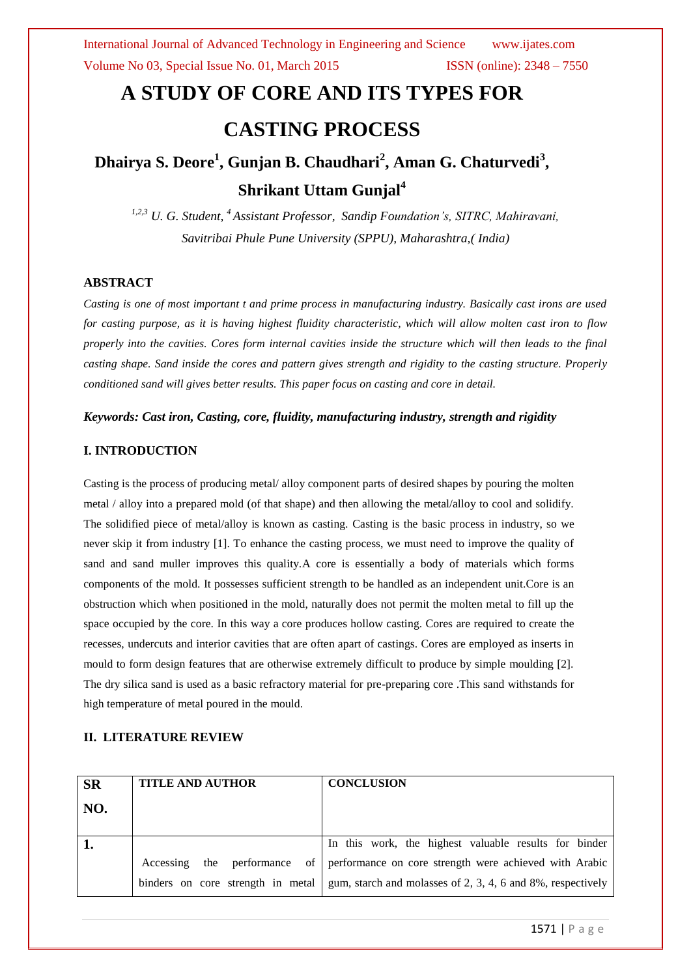# **A STUDY OF CORE AND ITS TYPES FOR CASTING PROCESS**

## **Dhairya S. Deore<sup>1</sup> , Gunjan B. Chaudhari<sup>2</sup> , Aman G. Chaturvedi<sup>3</sup> , Shrikant Uttam Gunjal<sup>4</sup>**

*1,2,3 U. G. Student, <sup>4</sup> Assistant Professor, Sandip Foundation's, SITRC, Mahiravani, Savitribai Phule Pune University (SPPU), Maharashtra,( India)*

#### **ABSTRACT**

*Casting is one of most important t and prime process in manufacturing industry. Basically cast irons are used for casting purpose, as it is having highest fluidity characteristic, which will allow molten cast iron to flow properly into the cavities. Cores form internal cavities inside the structure which will then leads to the final casting shape. Sand inside the cores and pattern gives strength and rigidity to the casting structure. Properly conditioned sand will gives better results. This paper focus on casting and core in detail.*

#### *Keywords: Cast iron, Casting, core, fluidity, manufacturing industry, strength and rigidity*

#### **I. INTRODUCTION**

Casting is the process of producing metal/ alloy component parts of desired shapes by pouring the molten metal / alloy into a prepared mold (of that shape) and then allowing the metal/alloy to cool and solidify. The solidified piece of metal/alloy is known as casting. Casting is the basic process in industry, so we never skip it from industry [1]. To enhance the casting process, we must need to improve the quality of sand and sand muller improves this quality.A core is essentially a body of materials which forms components of the mold. It possesses sufficient strength to be handled as an independent unit.Core is an obstruction which when positioned in the mold, naturally does not permit the molten metal to fill up the space occupied by the core. In this way a core produces hollow casting. Cores are required to create the recesses, undercuts and interior cavities that are often apart of castings. Cores are employed as inserts in mould to form design features that are otherwise extremely difficult to produce by simple moulding [2]. The dry silica sand is used as a basic refractory material for pre-preparing core .This sand withstands for high temperature of metal poured in the mould.

#### **II. LITERATURE REVIEW**

| <b>SR</b> | <b>TITLE AND AUTHOR</b>           | <b>CONCLUSION</b>                                           |
|-----------|-----------------------------------|-------------------------------------------------------------|
| NO.       |                                   |                                                             |
|           |                                   |                                                             |
|           |                                   | In this work, the highest valuable results for binder       |
|           | the performance of<br>Accessing   | performance on core strength were achieved with Arabic      |
|           | binders on core strength in metal | gum, starch and molasses of 2, 3, 4, 6 and 8%, respectively |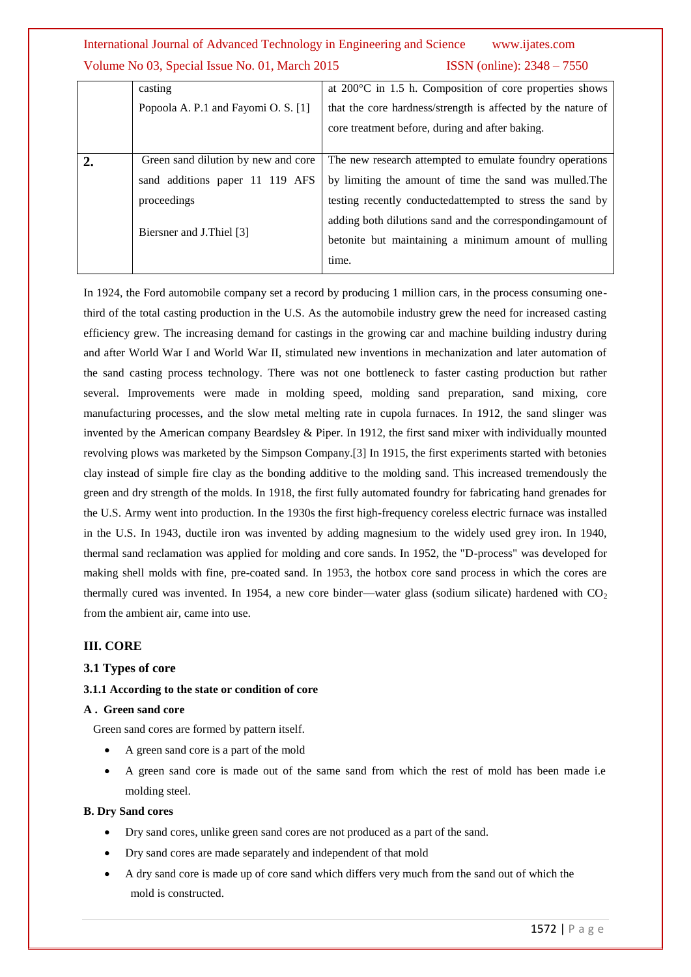|                | casting                             | at $200^{\circ}$ C in 1.5 h. Composition of core properties shows |
|----------------|-------------------------------------|-------------------------------------------------------------------|
|                | Popoola A. P.1 and Fayomi O. S. [1] | that the core hardness/strength is affected by the nature of      |
|                |                                     | core treatment before, during and after baking.                   |
|                |                                     |                                                                   |
| $\overline{2}$ | Green sand dilution by new and core | The new research attempted to emulate foundry operations          |
|                | sand additions paper 11 119 AFS     | by limiting the amount of time the sand was mulled. The           |
|                | proceedings                         | testing recently conducted attempted to stress the sand by        |
|                | Biersner and J.Thiel [3]            | adding both dilutions sand and the corresponding amount of        |
|                |                                     | betonite but maintaining a minimum amount of mulling              |
|                |                                     | time.                                                             |

In 1924, the Ford automobile company set a record by producing 1 million cars, in the process consuming onethird of the total casting production in the U.S. As the automobile industry grew the need for increased casting efficiency grew. The increasing demand for castings in the growing car and machine building industry during and after World War I and World War II, stimulated new inventions in mechanization and later automation of the sand casting process technology. There was not one bottleneck to faster casting production but rather several. Improvements were made in molding speed, molding sand preparation, sand mixing, core manufacturing processes, and the slow metal melting rate in cupola furnaces. In 1912, the sand slinger was invented by the American company Beardsley & Piper. In 1912, the first sand mixer with individually mounted revolving plows was marketed by the Simpson Company.[3] In 1915, the first experiments started with betonies clay instead of simple fire clay as the bonding additive to the molding sand. This increased tremendously the green and dry strength of the molds. In 1918, the first fully automated foundry for fabricating hand grenades for the U.S. Army went into production. In the 1930s the first high-frequency coreless electric furnace was installed in the U.S. In 1943, ductile iron was invented by adding magnesium to the widely used grey iron. In 1940, thermal sand reclamation was applied for molding and core sands. In 1952, the "D-process" was developed for making shell molds with fine, pre-coated sand. In 1953, the hotbox core sand process in which the cores are thermally cured was invented. In 1954, a new core binder—water glass (sodium silicate) hardened with  $CO<sub>2</sub>$ from the ambient air, came into use.

#### **III. CORE**

#### **3.1 Types of core**

#### **3.1.1 According to the state or condition of core**

#### **A . Green sand core**

Green sand cores are formed by pattern itself.

- A green sand core is a part of the mold
- A green sand core is made out of the same sand from which the rest of mold has been made i.e molding steel.

#### **B. Dry Sand cores**

- Dry sand cores, unlike green sand cores are not produced as a part of the sand.
- Dry sand cores are made separately and independent of that mold
- A dry sand core is made up of core sand which differs very much from the sand out of which the mold is constructed.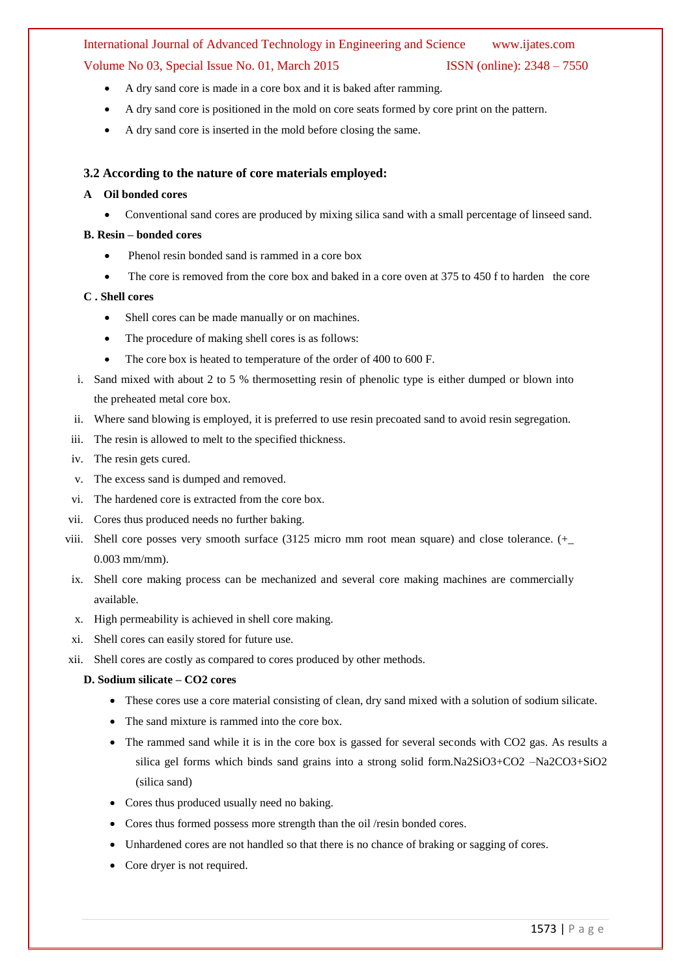- A dry sand core is made in a core box and it is baked after ramming.
- A dry sand core is positioned in the mold on core seats formed by core print on the pattern.
- A dry sand core is inserted in the mold before closing the same.

#### **3.2 According to the nature of core materials employed:**

#### **A Oil bonded cores**

Conventional sand cores are produced by mixing silica sand with a small percentage of linseed sand.

#### **B. Resin – bonded cores**

- Phenol resin bonded sand is rammed in a core box
- The core is removed from the core box and baked in a core oven at 375 to 450 f to harden the core

#### **C . Shell cores**

- Shell cores can be made manually or on machines.
- The procedure of making shell cores is as follows:
- The core box is heated to temperature of the order of 400 to 600 F.
- i. Sand mixed with about 2 to 5 % thermosetting resin of phenolic type is either dumped or blown into the preheated metal core box.
- ii. Where sand blowing is employed, it is preferred to use resin precoated sand to avoid resin segregation.
- iii. The resin is allowed to melt to the specified thickness.
- iv. The resin gets cured.
- v. The excess sand is dumped and removed.
- vi. The hardened core is extracted from the core box.
- vii. Cores thus produced needs no further baking.
- viii. Shell core posses very smooth surface (3125 micro mm root mean square) and close tolerance. (+\_ 0.003 mm/mm).
- ix. Shell core making process can be mechanized and several core making machines are commercially available.
- x. High permeability is achieved in shell core making.
- xi. Shell cores can easily stored for future use.
- xii. Shell cores are costly as compared to cores produced by other methods.

#### **D. Sodium silicate – CO2 cores**

- These cores use a core material consisting of clean, dry sand mixed with a solution of sodium silicate.
- The sand mixture is rammed into the core box.
- The rammed sand while it is in the core box is gassed for several seconds with CO2 gas. As results a silica gel forms which binds sand grains into a strong solid form.Na2SiO3+CO2 –Na2CO3+SiO2 (silica sand)
- Cores thus produced usually need no baking.
- Cores thus formed possess more strength than the oil /resin bonded cores.
- Unhardened cores are not handled so that there is no chance of braking or sagging of cores.
- Core dryer is not required.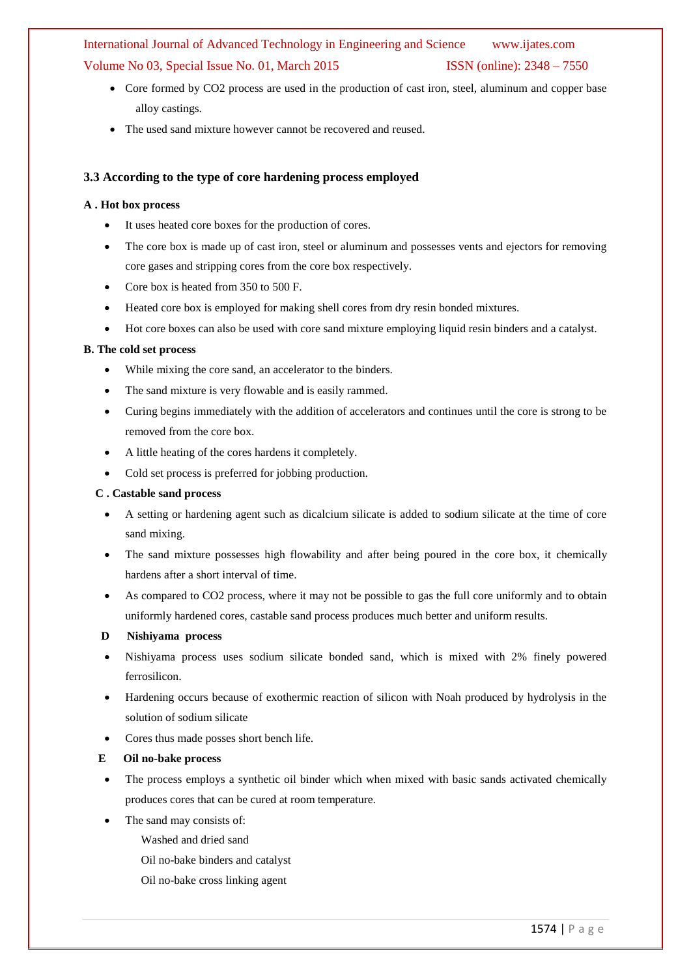- Core formed by CO2 process are used in the production of cast iron, steel, aluminum and copper base alloy castings.
- The used sand mixture however cannot be recovered and reused.

#### **3.3 According to the type of core hardening process employed**

#### **A . Hot box process**

- It uses heated core boxes for the production of cores.
- The core box is made up of cast iron, steel or aluminum and possesses vents and ejectors for removing core gases and stripping cores from the core box respectively.
- Core box is heated from 350 to 500 F.
- Heated core box is employed for making shell cores from dry resin bonded mixtures.
- Hot core boxes can also be used with core sand mixture employing liquid resin binders and a catalyst.

#### **B. The cold set process**

- While mixing the core sand, an accelerator to the binders.
- The sand mixture is very flowable and is easily rammed.
- Curing begins immediately with the addition of accelerators and continues until the core is strong to be removed from the core box.
- A little heating of the cores hardens it completely.
- Cold set process is preferred for jobbing production.

#### **C . Castable sand process**

- A setting or hardening agent such as dicalcium silicate is added to sodium silicate at the time of core sand mixing.
- The sand mixture possesses high flowability and after being poured in the core box, it chemically hardens after a short interval of time.
- As compared to CO2 process, where it may not be possible to gas the full core uniformly and to obtain uniformly hardened cores, castable sand process produces much better and uniform results.
- **D Nishiyama process**
- Nishiyama process uses sodium silicate bonded sand, which is mixed with 2% finely powered ferrosilicon.
- Hardening occurs because of exothermic reaction of silicon with Noah produced by hydrolysis in the solution of sodium silicate
- Cores thus made posses short bench life.
- **E Oil no-bake process**
- The process employs a synthetic oil binder which when mixed with basic sands activated chemically produces cores that can be cured at room temperature.
- The sand may consists of:
	- Washed and dried sand
	- Oil no-bake binders and catalyst
	- Oil no-bake cross linking agent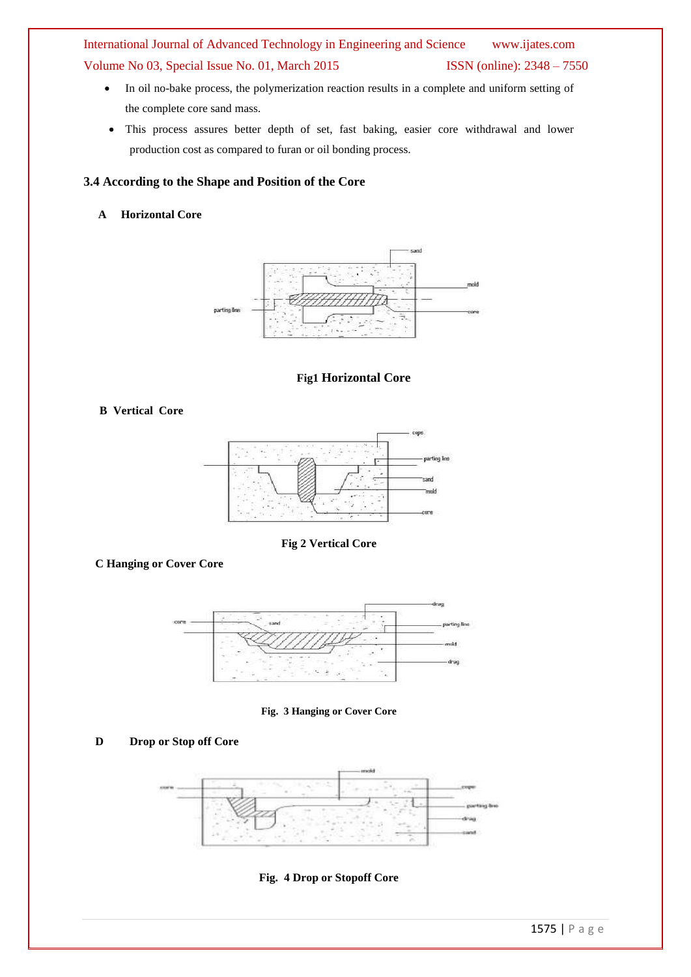- In oil no-bake process, the polymerization reaction results in a complete and uniform setting of the complete core sand mass.
- This process assures better depth of set, fast baking, easier core withdrawal and lower production cost as compared to furan or oil bonding process.

#### **3.4 According to the Shape and Position of the Core**

#### **A Horizontal Core**



#### **Fig1 Horizontal Core**

#### **B Vertical Core**



**Fig 2 Vertical Core**

 **C Hanging or Cover Core**



#### **Fig. 3 Hanging or Cover Core**

#### **D** Drop or Stop off Core



**Fig. 4 Drop or Stopoff Core**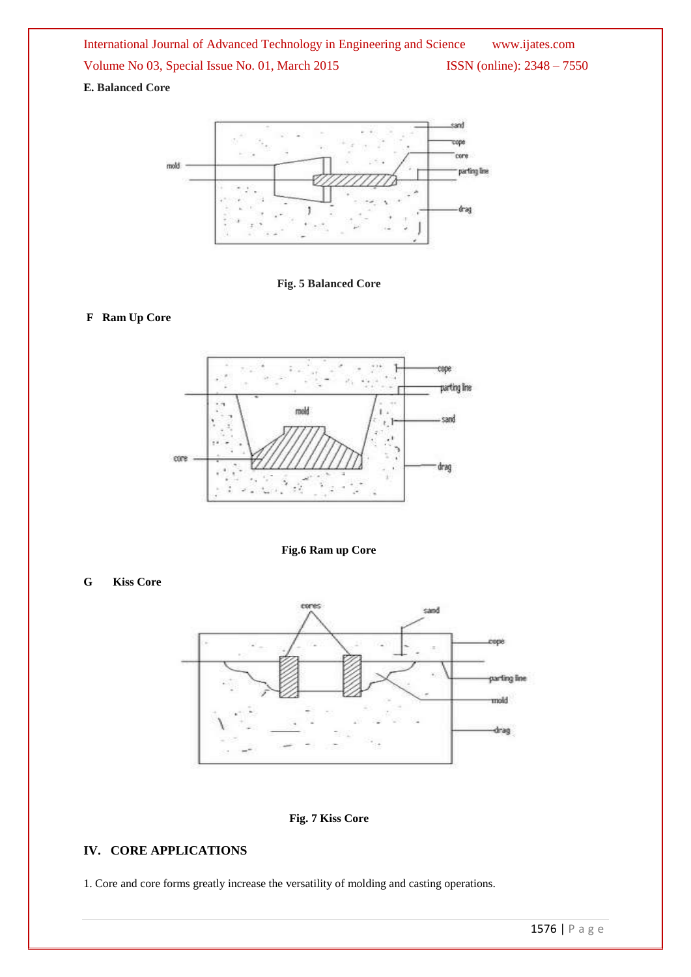#### **E. Balanced Core**





#### **F Ram Up Core**



**Fig.6 Ram up Core**

#### **G Kiss Core**



#### **Fig. 7 Kiss Core**

#### **IV. CORE APPLICATIONS**

1. Core and core forms greatly increase the versatility of molding and casting operations.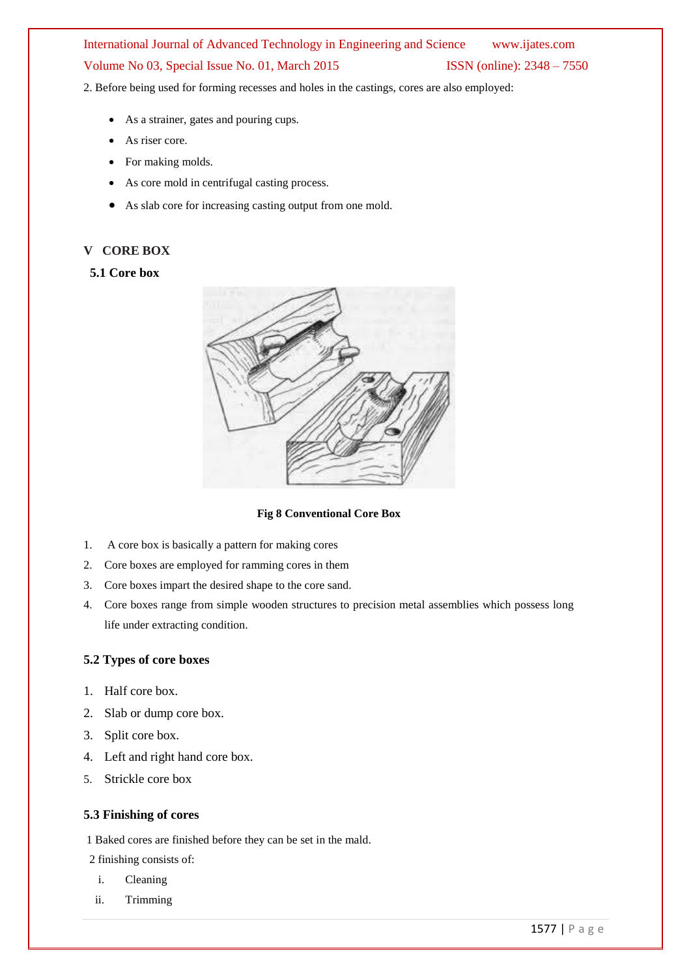2. Before being used for forming recesses and holes in the castings, cores are also employed:

- As a strainer, gates and pouring cups.
- As riser core.
- For making molds.
- As core mold in centrifugal casting process.
- As slab core for increasing casting output from one mold.

#### **V CORE BOX**

#### **5.1 Core box**



**Fig 8 Conventional Core Box**

- 1. A core box is basically a pattern for making cores
- 2. Core boxes are employed for ramming cores in them
- 3. Core boxes impart the desired shape to the core sand.
- 4. Core boxes range from simple wooden structures to precision metal assemblies which possess long life under extracting condition.

#### **5.2 Types of core boxes**

- 1. Half core box.
- 2. Slab or dump core box.
- 3. Split core box.
- 4. Left and right hand core box.
- 5. Strickle core box

#### **5.3 Finishing of cores**

1 Baked cores are finished before they can be set in the mald.

2 finishing consists of:

- i. Cleaning
- ii. Trimming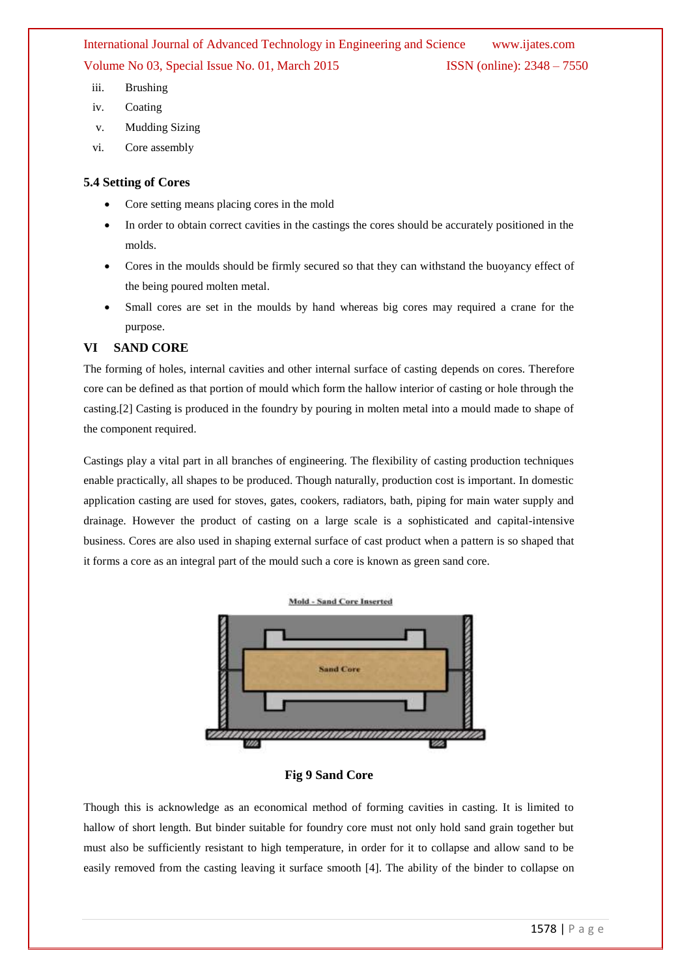- iii. Brushing
- iv. Coating
- v. Mudding Sizing
- vi. Core assembly

#### **5.4 Setting of Cores**

- Core setting means placing cores in the mold
- In order to obtain correct cavities in the castings the cores should be accurately positioned in the molds.
- Cores in the moulds should be firmly secured so that they can withstand the buoyancy effect of the being poured molten metal.
- Small cores are set in the moulds by hand whereas big cores may required a crane for the purpose.

#### **VI SAND CORE**

The forming of holes, internal cavities and other internal surface of casting depends on cores. Therefore core can be defined as that portion of mould which form the hallow interior of casting or hole through the casting.[2] Casting is produced in the foundry by pouring in molten metal into a mould made to shape of the component required.

Castings play a vital part in all branches of engineering. The flexibility of casting production techniques enable practically, all shapes to be produced. Though naturally, production cost is important. In domestic application casting are used for stoves, gates, cookers, radiators, bath, piping for main water supply and drainage. However the product of casting on a large scale is a sophisticated and capital-intensive business. Cores are also used in shaping external surface of cast product when a pattern is so shaped that it forms a core as an integral part of the mould such a core is known as green sand core.



#### **Fig 9 Sand Core**

Though this is acknowledge as an economical method of forming cavities in casting. It is limited to hallow of short length. But binder suitable for foundry core must not only hold sand grain together but must also be sufficiently resistant to high temperature, in order for it to collapse and allow sand to be easily removed from the casting leaving it surface smooth [4]. The ability of the binder to collapse on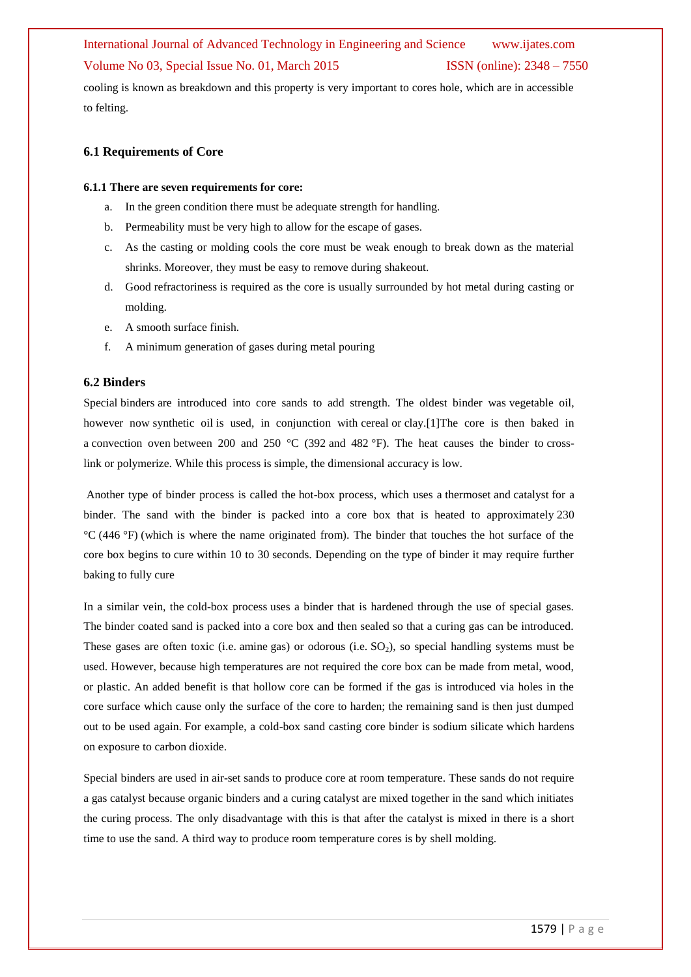cooling is known as breakdown and this property is very important to cores hole, which are in accessible to felting.

#### **6.1 Requirements of Core**

#### **6.1.1 There are seven requirements for core:**

- a. In the green condition there must be adequate strength for handling.
- b. Permeability must be very high to allow for the escape of gases.
- c. As the casting or molding cools the core must be weak enough to break down as the material shrinks. Moreover, they must be easy to remove during shakeout.
- d. Good refractoriness is required as the core is usually surrounded by hot metal during casting or molding.
- e. A smooth surface finish.
- f. A minimum generation of gases during metal pouring

#### **6.2 Binders**

Special binders are introduced into core sands to add strength. The oldest binder was vegetable oil, however now synthetic oil is used, in conjunction with cereal or clay.[1]The core is then baked in a convection oven between 200 and 250 °C (392 and 482 °F). The heat causes the binder to crosslink or polymerize. While this process is simple, the dimensional accuracy is low.

Another type of binder process is called the hot-box process, which uses a thermoset and catalyst for a binder. The sand with the binder is packed into a core box that is heated to approximately 230 °C (446 °F) (which is where the name originated from). The binder that touches the hot surface of the core box begins to cure within 10 to 30 seconds. Depending on the type of binder it may require further baking to fully cure

In a similar vein, the cold-box process uses a binder that is hardened through the use of special gases. The binder coated sand is packed into a core box and then sealed so that a curing gas can be introduced. These gases are often toxic (i.e. amine gas) or odorous (i.e.  $SO<sub>2</sub>$ ), so special handling systems must be used. However, because high temperatures are not required the core box can be made from metal, wood, or plastic. An added benefit is that hollow core can be formed if the gas is introduced via holes in the core surface which cause only the surface of the core to harden; the remaining sand is then just dumped out to be used again. For example, a cold-box sand casting core binder is sodium silicate which hardens on exposure to carbon dioxide.

Special binders are used in air-set sands to produce core at room temperature. These sands do not require a gas catalyst because organic binders and a curing catalyst are mixed together in the sand which initiates the curing process. The only disadvantage with this is that after the catalyst is mixed in there is a short time to use the sand. A third way to produce room temperature cores is by shell molding.